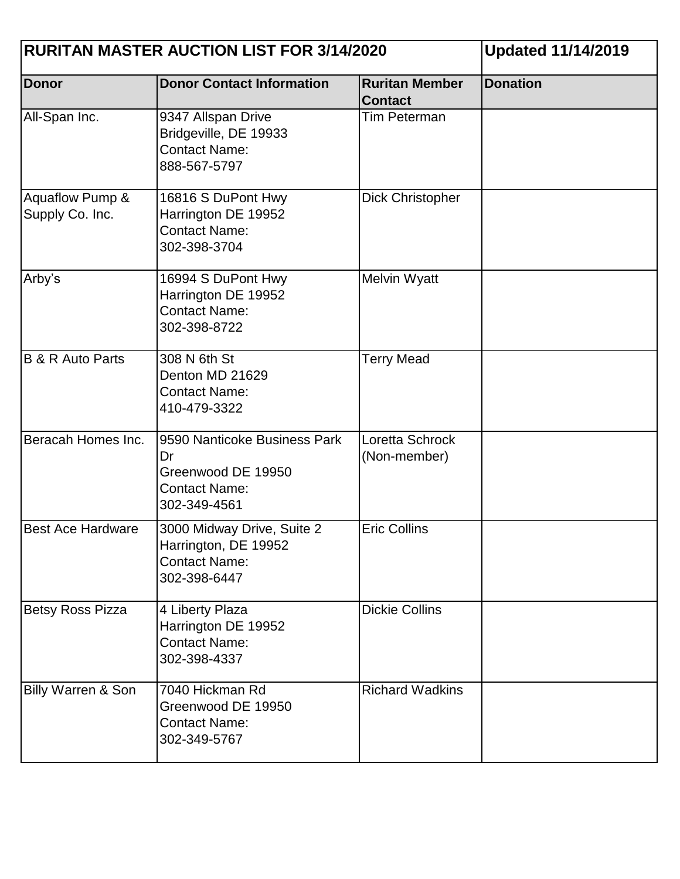| <b>RURITAN MASTER AUCTION LIST FOR 3/14/2020</b> |                                                                                                  |                                         | <b>Updated 11/14/2019</b> |
|--------------------------------------------------|--------------------------------------------------------------------------------------------------|-----------------------------------------|---------------------------|
| <b>Donor</b>                                     | <b>Donor Contact Information</b>                                                                 | <b>Ruritan Member</b><br><b>Contact</b> | <b>Donation</b>           |
| All-Span Inc.                                    | 9347 Allspan Drive<br>Bridgeville, DE 19933<br><b>Contact Name:</b><br>888-567-5797              | Tim Peterman                            |                           |
| <b>Aquaflow Pump &amp;</b><br>Supply Co. Inc.    | 16816 S DuPont Hwy<br>Harrington DE 19952<br><b>Contact Name:</b><br>302-398-3704                | <b>Dick Christopher</b>                 |                           |
| Arby's                                           | 16994 S DuPont Hwy<br>Harrington DE 19952<br><b>Contact Name:</b><br>302-398-8722                | Melvin Wyatt                            |                           |
| B & R Auto Parts                                 | 308 N 6th St<br>Denton MD 21629<br><b>Contact Name:</b><br>410-479-3322                          | <b>Terry Mead</b>                       |                           |
| Beracah Homes Inc.                               | 9590 Nanticoke Business Park<br>Dr<br>Greenwood DE 19950<br><b>Contact Name:</b><br>302-349-4561 | Loretta Schrock<br>(Non-member)         |                           |
| <b>Best Ace Hardware</b>                         | 3000 Midway Drive, Suite 2<br>Harrington, DE 19952<br><b>Contact Name:</b><br>302-398-6447       | <b>Eric Collins</b>                     |                           |
| <b>Betsy Ross Pizza</b>                          | 4 Liberty Plaza<br>Harrington DE 19952<br><b>Contact Name:</b><br>302-398-4337                   | <b>Dickie Collins</b>                   |                           |
| Billy Warren & Son                               | 7040 Hickman Rd<br>Greenwood DE 19950<br><b>Contact Name:</b><br>302-349-5767                    | <b>Richard Wadkins</b>                  |                           |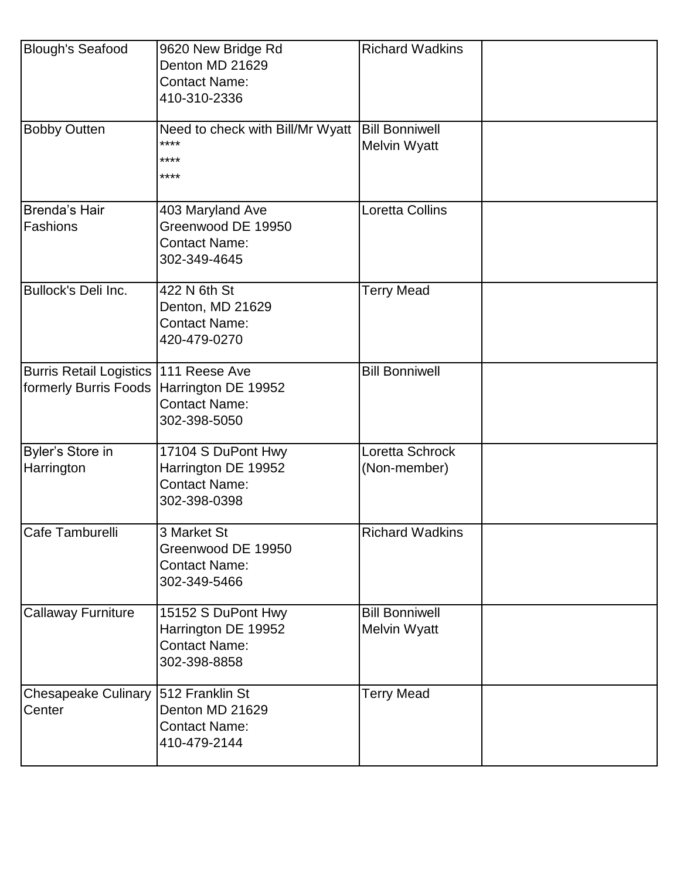| <b>Blough's Seafood</b>                                          | 9620 New Bridge Rd<br>Denton MD 21629<br><b>Contact Name:</b><br>410-310-2336     | <b>Richard Wadkins</b>                |  |
|------------------------------------------------------------------|-----------------------------------------------------------------------------------|---------------------------------------|--|
| <b>Bobby Outten</b>                                              | Need to check with Bill/Mr Wyatt<br>****<br>****<br>****                          | <b>Bill Bonniwell</b><br>Melvin Wyatt |  |
| <b>Brenda's Hair</b><br>Fashions                                 | 403 Maryland Ave<br>Greenwood DE 19950<br><b>Contact Name:</b><br>302-349-4645    | Loretta Collins                       |  |
| Bullock's Deli Inc.                                              | 422 N 6th St<br>Denton, MD 21629<br><b>Contact Name:</b><br>420-479-0270          | <b>Terry Mead</b>                     |  |
| Burris Retail Logistics   111 Reese Ave<br>formerly Burris Foods | Harrington DE 19952<br><b>Contact Name:</b><br>302-398-5050                       | <b>Bill Bonniwell</b>                 |  |
| Byler's Store in<br>Harrington                                   | 17104 S DuPont Hwy<br>Harrington DE 19952<br><b>Contact Name:</b><br>302-398-0398 | Loretta Schrock<br>(Non-member)       |  |
| Cafe Tamburelli                                                  | 3 Market St<br>Greenwood DE 19950<br><b>Contact Name:</b><br>302-349-5466         | <b>Richard Wadkins</b>                |  |
| <b>Callaway Furniture</b>                                        | 15152 S DuPont Hwy<br>Harrington DE 19952<br><b>Contact Name:</b><br>302-398-8858 | <b>Bill Bonniwell</b><br>Melvin Wyatt |  |
| Chesapeake Culinary<br>Center                                    | 512 Franklin St<br>Denton MD 21629<br><b>Contact Name:</b><br>410-479-2144        | <b>Terry Mead</b>                     |  |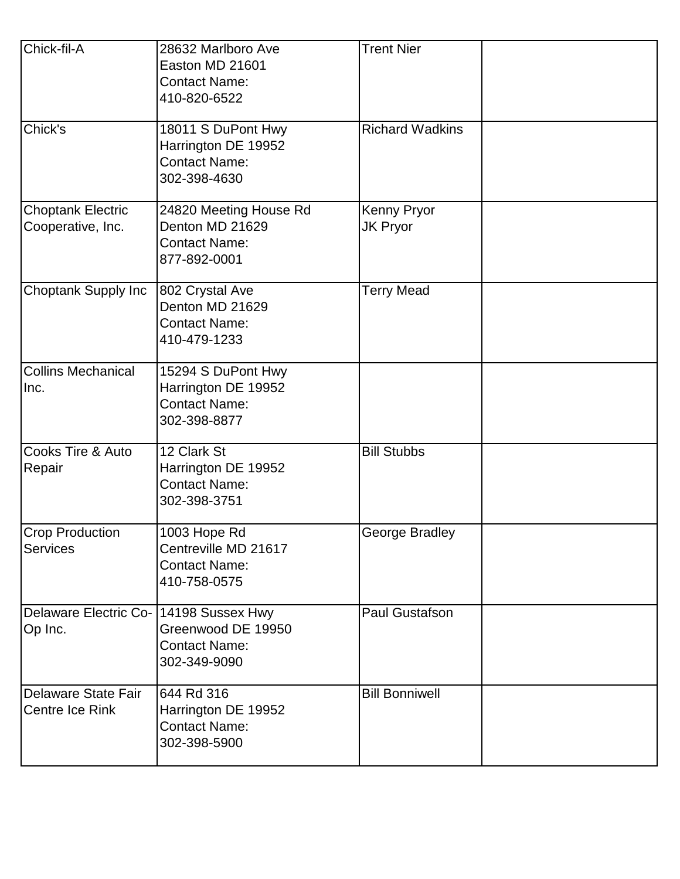| Chick-fil-A                                   | 28632 Marlboro Ave<br>Easton MD 21601<br><b>Contact Name:</b><br>410-820-6522     | <b>Trent Nier</b>       |  |
|-----------------------------------------------|-----------------------------------------------------------------------------------|-------------------------|--|
| Chick's                                       | 18011 S DuPont Hwy<br>Harrington DE 19952<br><b>Contact Name:</b><br>302-398-4630 | <b>Richard Wadkins</b>  |  |
| <b>Choptank Electric</b><br>Cooperative, Inc. | 24820 Meeting House Rd<br>Denton MD 21629<br><b>Contact Name:</b><br>877-892-0001 | Kenny Pryor<br>JK Pryor |  |
| Choptank Supply Inc                           | 802 Crystal Ave<br>Denton MD 21629<br><b>Contact Name:</b><br>410-479-1233        | <b>Terry Mead</b>       |  |
| <b>Collins Mechanical</b><br>Inc.             | 15294 S DuPont Hwy<br>Harrington DE 19952<br><b>Contact Name:</b><br>302-398-8877 |                         |  |
| Cooks Tire & Auto<br>Repair                   | 12 Clark St<br>Harrington DE 19952<br><b>Contact Name:</b><br>302-398-3751        | <b>Bill Stubbs</b>      |  |
| <b>Crop Production</b><br><b>Services</b>     | 1003 Hope Rd<br>Centreville MD 21617<br><b>Contact Name:</b><br>410-758-0575      | George Bradley          |  |
| Delaware Electric Co-<br>Op Inc.              | 14198 Sussex Hwy<br>Greenwood DE 19950<br><b>Contact Name:</b><br>302-349-9090    | Paul Gustafson          |  |
| Delaware State Fair<br><b>Centre Ice Rink</b> | 644 Rd 316<br>Harrington DE 19952<br><b>Contact Name:</b><br>302-398-5900         | <b>Bill Bonniwell</b>   |  |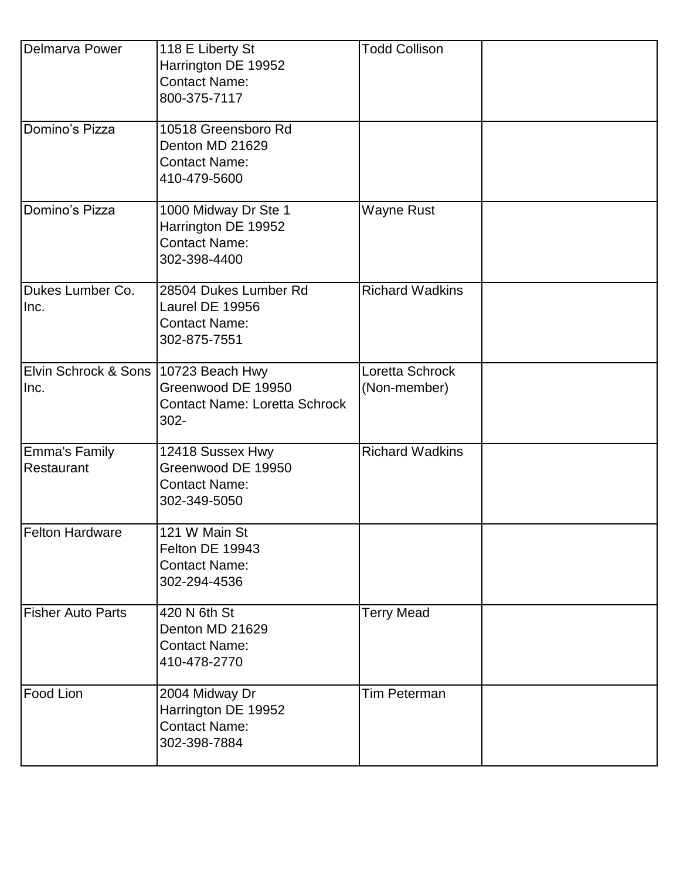| Delmarva Power                                 | 118 E Liberty St<br>Harrington DE 19952<br><b>Contact Name:</b><br>800-375-7117         | <b>Todd Collison</b>            |  |
|------------------------------------------------|-----------------------------------------------------------------------------------------|---------------------------------|--|
| Domino's Pizza                                 | 10518 Greensboro Rd<br>Denton MD 21629<br><b>Contact Name:</b><br>410-479-5600          |                                 |  |
| Domino's Pizza                                 | 1000 Midway Dr Ste 1<br>Harrington DE 19952<br><b>Contact Name:</b><br>302-398-4400     | Wayne Rust                      |  |
| Dukes Lumber Co.<br>Inc.                       | 28504 Dukes Lumber Rd<br><b>Laurel DE 19956</b><br><b>Contact Name:</b><br>302-875-7551 | <b>Richard Wadkins</b>          |  |
| Elvin Schrock & Sons   10723 Beach Hwy<br>Inc. | Greenwood DE 19950<br><b>Contact Name: Loretta Schrock</b><br>$302 -$                   | Loretta Schrock<br>(Non-member) |  |
| Emma's Family<br>Restaurant                    | 12418 Sussex Hwy<br>Greenwood DE 19950<br><b>Contact Name:</b><br>302-349-5050          | <b>Richard Wadkins</b>          |  |
| <b>Felton Hardware</b>                         | 121 W Main St<br>Felton DE 19943<br><b>Contact Name:</b><br>302-294-4536                |                                 |  |
| <b>Fisher Auto Parts</b>                       | 420 N 6th St<br>Denton MD 21629<br><b>Contact Name:</b><br>410-478-2770                 | <b>Terry Mead</b>               |  |
| Food Lion                                      | 2004 Midway Dr<br>Harrington DE 19952<br><b>Contact Name:</b><br>302-398-7884           | Tim Peterman                    |  |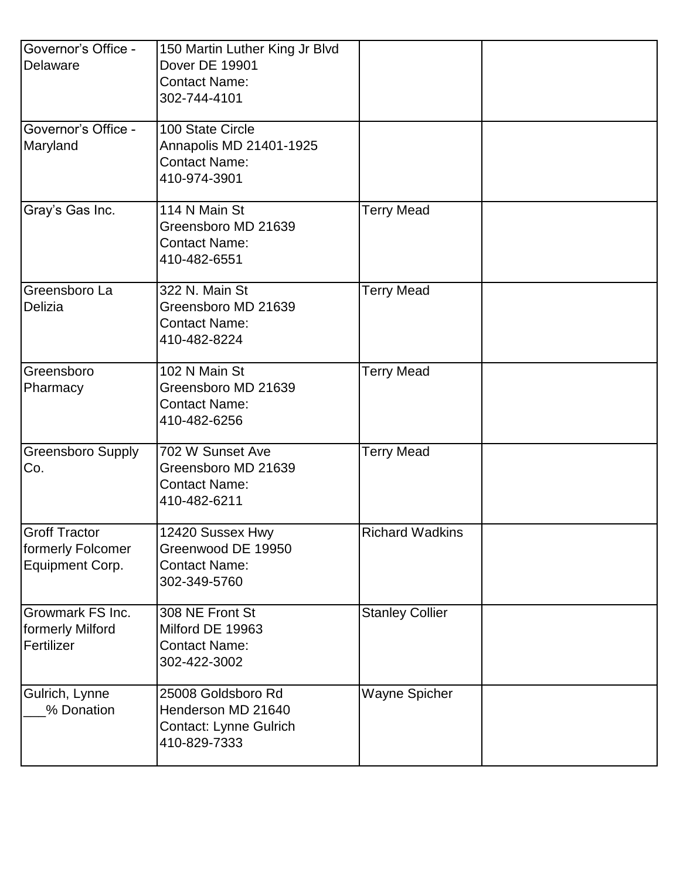| Governor's Office -<br>Delaware                              | 150 Martin Luther King Jr Blvd<br>Dover DE 19901<br><b>Contact Name:</b><br>302-744-4101 |                        |  |
|--------------------------------------------------------------|------------------------------------------------------------------------------------------|------------------------|--|
| Governor's Office -<br>Maryland                              | 100 State Circle<br>Annapolis MD 21401-1925<br><b>Contact Name:</b><br>410-974-3901      |                        |  |
| Gray's Gas Inc.                                              | 114 N Main St<br>Greensboro MD 21639<br><b>Contact Name:</b><br>410-482-6551             | <b>Terry Mead</b>      |  |
| Greensboro La<br>Delizia                                     | 322 N. Main St<br>Greensboro MD 21639<br><b>Contact Name:</b><br>410-482-8224            | <b>Terry Mead</b>      |  |
| Greensboro<br>Pharmacy                                       | 102 N Main St<br>Greensboro MD 21639<br><b>Contact Name:</b><br>410-482-6256             | <b>Terry Mead</b>      |  |
| <b>Greensboro Supply</b><br>Co.                              | 702 W Sunset Ave<br>Greensboro MD 21639<br><b>Contact Name:</b><br>410-482-6211          | <b>Terry Mead</b>      |  |
| <b>Groff Tractor</b><br>formerly Folcomer<br>Equipment Corp. | 12420 Sussex Hwy<br>Greenwood DE 19950<br><b>Contact Name:</b><br>302-349-5760           | <b>Richard Wadkins</b> |  |
| Growmark FS Inc.<br>formerly Milford<br>Fertilizer           | 308 NE Front St<br>Milford DE 19963<br><b>Contact Name:</b><br>302-422-3002              | <b>Stanley Collier</b> |  |
| Gulrich, Lynne<br>% Donation                                 | 25008 Goldsboro Rd<br>Henderson MD 21640<br>Contact: Lynne Gulrich<br>410-829-7333       | <b>Wayne Spicher</b>   |  |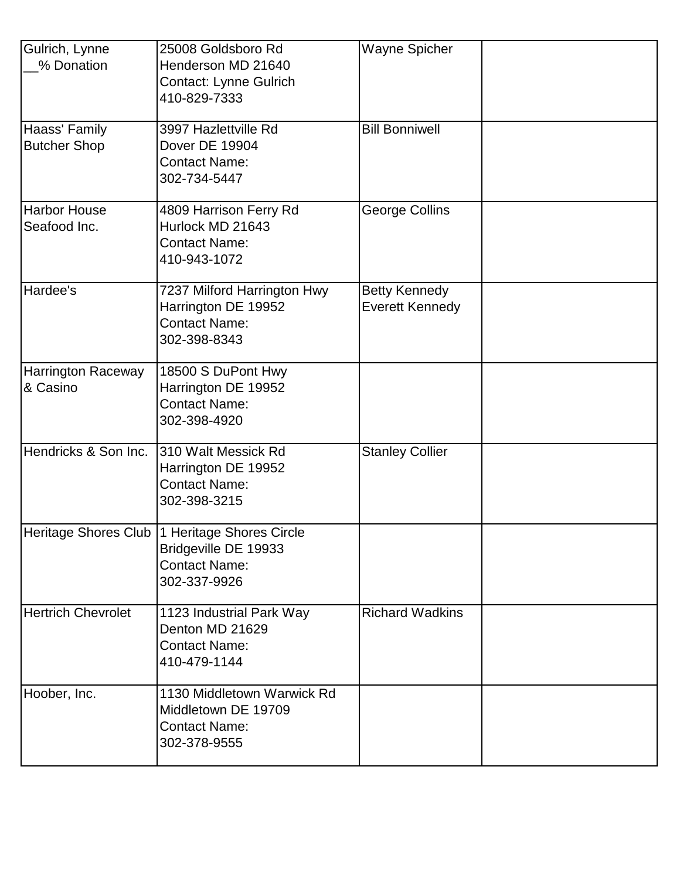| Gulrich, Lynne<br>% Donation         | 25008 Goldsboro Rd<br>Henderson MD 21640<br><b>Contact: Lynne Gulrich</b><br>410-829-7333                       | <b>Wayne Spicher</b>                           |  |
|--------------------------------------|-----------------------------------------------------------------------------------------------------------------|------------------------------------------------|--|
| Haass' Family<br><b>Butcher Shop</b> | 3997 Hazlettville Rd<br>Dover DE 19904<br><b>Contact Name:</b><br>302-734-5447                                  | <b>Bill Bonniwell</b>                          |  |
| <b>Harbor House</b><br>Seafood Inc.  | 4809 Harrison Ferry Rd<br>Hurlock MD 21643<br><b>Contact Name:</b><br>410-943-1072                              | George Collins                                 |  |
| Hardee's                             | 7237 Milford Harrington Hwy<br>Harrington DE 19952<br><b>Contact Name:</b><br>302-398-8343                      | <b>Betty Kennedy</b><br><b>Everett Kennedy</b> |  |
| Harrington Raceway<br>& Casino       | 18500 S DuPont Hwy<br>Harrington DE 19952<br><b>Contact Name:</b><br>302-398-4920                               |                                                |  |
| Hendricks & Son Inc.                 | 310 Walt Messick Rd<br>Harrington DE 19952<br><b>Contact Name:</b><br>302-398-3215                              | <b>Stanley Collier</b>                         |  |
|                                      | Heritage Shores Club   1 Heritage Shores Circle<br>Bridgeville DE 19933<br><b>Contact Name:</b><br>302-337-9926 |                                                |  |
| <b>Hertrich Chevrolet</b>            | 1123 Industrial Park Way<br>Denton MD 21629<br><b>Contact Name:</b><br>410-479-1144                             | <b>Richard Wadkins</b>                         |  |
| Hoober, Inc.                         | 1130 Middletown Warwick Rd<br>Middletown DE 19709<br><b>Contact Name:</b><br>302-378-9555                       |                                                |  |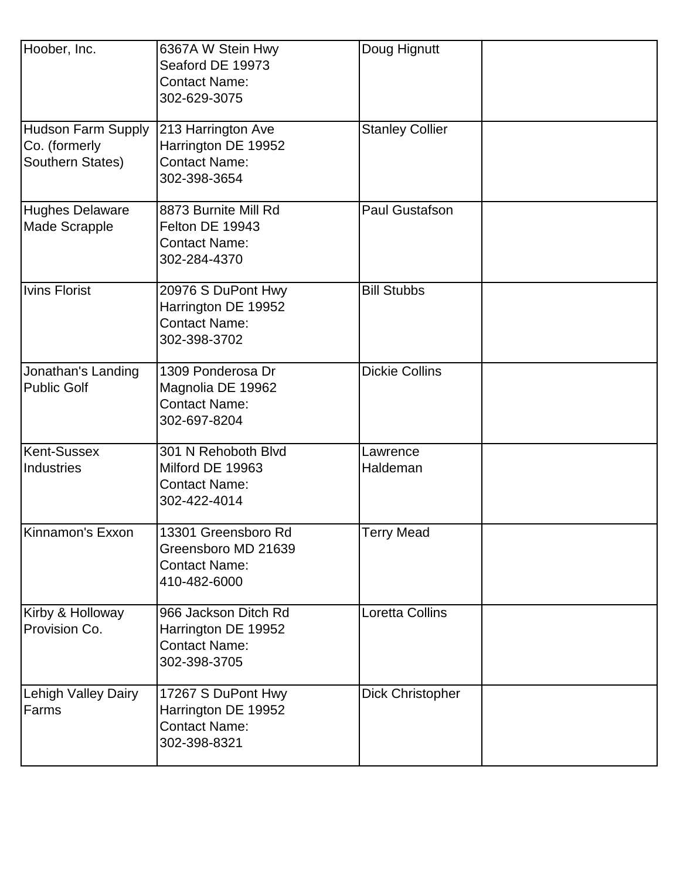| Hoober, Inc.                                                   | 6367A W Stein Hwy<br>Seaford DE 19973<br><b>Contact Name:</b><br>302-629-3075       | Doug Hignutt            |  |
|----------------------------------------------------------------|-------------------------------------------------------------------------------------|-------------------------|--|
| <b>Hudson Farm Supply</b><br>Co. (formerly<br>Southern States) | 213 Harrington Ave<br>Harrington DE 19952<br><b>Contact Name:</b><br>302-398-3654   | <b>Stanley Collier</b>  |  |
| <b>Hughes Delaware</b><br><b>Made Scrapple</b>                 | 8873 Burnite Mill Rd<br>Felton DE 19943<br><b>Contact Name:</b><br>302-284-4370     | <b>Paul Gustafson</b>   |  |
| <b>Ivins Florist</b>                                           | 20976 S DuPont Hwy<br>Harrington DE 19952<br><b>Contact Name:</b><br>302-398-3702   | <b>Bill Stubbs</b>      |  |
| Jonathan's Landing<br><b>Public Golf</b>                       | 1309 Ponderosa Dr<br>Magnolia DE 19962<br><b>Contact Name:</b><br>302-697-8204      | <b>Dickie Collins</b>   |  |
| <b>Kent-Sussex</b><br><b>Industries</b>                        | 301 N Rehoboth Blvd<br>Milford DE 19963<br><b>Contact Name:</b><br>302-422-4014     | Lawrence<br>Haldeman    |  |
| Kinnamon's Exxon                                               | 13301 Greensboro Rd<br>Greensboro MD 21639<br><b>Contact Name:</b><br>410-482-6000  | <b>Terry Mead</b>       |  |
| Kirby & Holloway<br>Provision Co.                              | 966 Jackson Ditch Rd<br>Harrington DE 19952<br><b>Contact Name:</b><br>302-398-3705 | Loretta Collins         |  |
| Lehigh Valley Dairy<br>Farms                                   | 17267 S DuPont Hwy<br>Harrington DE 19952<br><b>Contact Name:</b><br>302-398-8321   | <b>Dick Christopher</b> |  |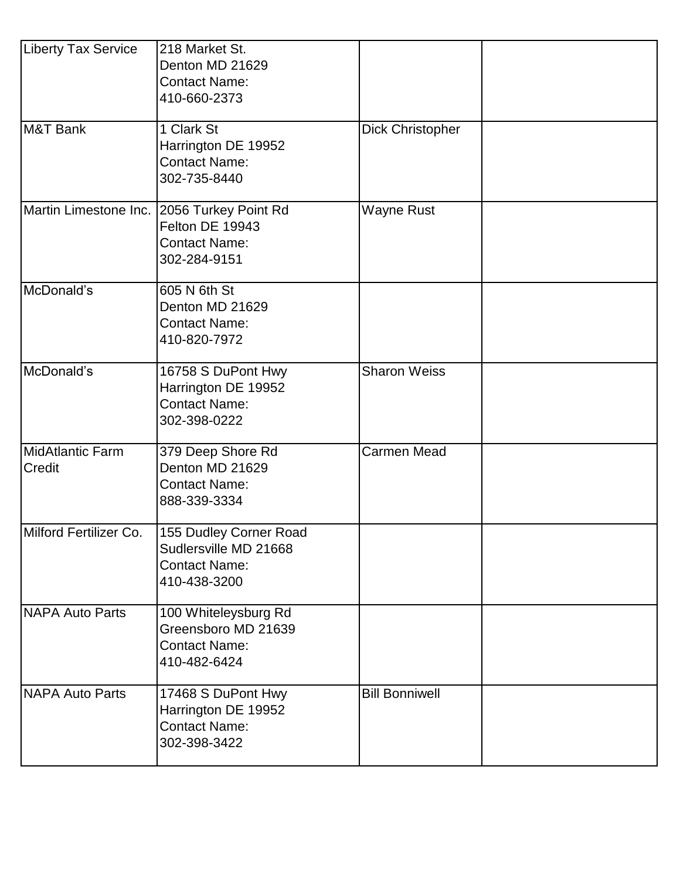| <b>Liberty Tax Service</b>        | 218 Market St.<br>Denton MD 21629<br><b>Contact Name:</b><br>410-660-2373               |                       |
|-----------------------------------|-----------------------------------------------------------------------------------------|-----------------------|
| M&T Bank                          | 1 Clark St<br>Harrington DE 19952<br><b>Contact Name:</b><br>302-735-8440               | Dick Christopher      |
| Martin Limestone Inc.             | 2056 Turkey Point Rd<br>Felton DE 19943<br><b>Contact Name:</b><br>302-284-9151         | <b>Wayne Rust</b>     |
| McDonald's                        | 605 N 6th St<br>Denton MD 21629<br><b>Contact Name:</b><br>410-820-7972                 |                       |
| McDonald's                        | 16758 S DuPont Hwy<br>Harrington DE 19952<br><b>Contact Name:</b><br>302-398-0222       | <b>Sharon Weiss</b>   |
| MidAtlantic Farm<br><b>Credit</b> | 379 Deep Shore Rd<br>Denton MD 21629<br><b>Contact Name:</b><br>888-339-3334            | <b>Carmen Mead</b>    |
| Milford Fertilizer Co.            | 155 Dudley Corner Road<br>Sudlersville MD 21668<br><b>Contact Name:</b><br>410-438-3200 |                       |
| <b>NAPA Auto Parts</b>            | 100 Whiteleysburg Rd<br>Greensboro MD 21639<br><b>Contact Name:</b><br>410-482-6424     |                       |
| <b>NAPA Auto Parts</b>            | 17468 S DuPont Hwy<br>Harrington DE 19952<br><b>Contact Name:</b><br>302-398-3422       | <b>Bill Bonniwell</b> |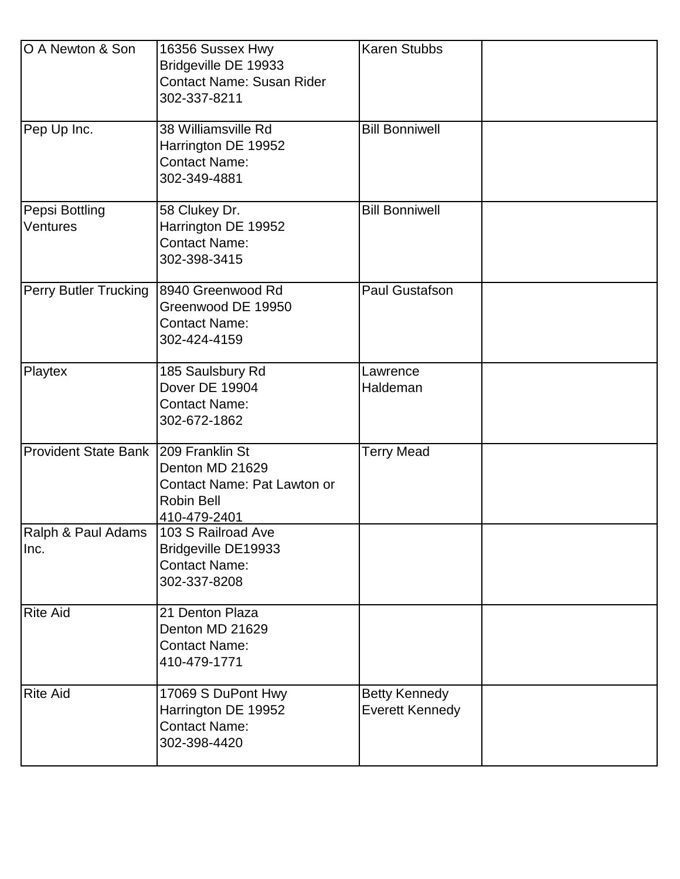| O A Newton & Son                       | 16356 Sussex Hwy<br>Bridgeville DE 19933<br><b>Contact Name: Susan Rider</b><br>302-337-8211 | Karen Stubbs                                   |
|----------------------------------------|----------------------------------------------------------------------------------------------|------------------------------------------------|
| Pep Up Inc.                            | 38 Williamsville Rd<br>Harrington DE 19952<br><b>Contact Name:</b><br>302-349-4881           | <b>Bill Bonniwell</b>                          |
| Pepsi Bottling<br>Ventures             | 58 Clukey Dr.<br>Harrington DE 19952<br><b>Contact Name:</b><br>302-398-3415                 | <b>Bill Bonniwell</b>                          |
| Perry Butler Trucking                  | 8940 Greenwood Rd<br>Greenwood DE 19950<br><b>Contact Name:</b><br>302-424-4159              | <b>Paul Gustafson</b>                          |
| Playtex                                | 185 Saulsbury Rd<br>Dover DE 19904<br><b>Contact Name:</b><br>302-672-1862                   | Lawrence<br>Haldeman                           |
| Provident State Bank   209 Franklin St | Denton MD 21629<br><b>Contact Name: Pat Lawton or</b><br><b>Robin Bell</b><br>410-479-2401   | <b>Terry Mead</b>                              |
| Ralph & Paul Adams<br>Inc.             | 103 S Railroad Ave<br>Bridgeville DE19933<br><b>Contact Name:</b><br>302-337-8208            |                                                |
| <b>Rite Aid</b>                        | 21 Denton Plaza<br>Denton MD 21629<br><b>Contact Name:</b><br>410-479-1771                   |                                                |
| <b>Rite Aid</b>                        | 17069 S DuPont Hwy<br>Harrington DE 19952<br><b>Contact Name:</b><br>302-398-4420            | <b>Betty Kennedy</b><br><b>Everett Kennedy</b> |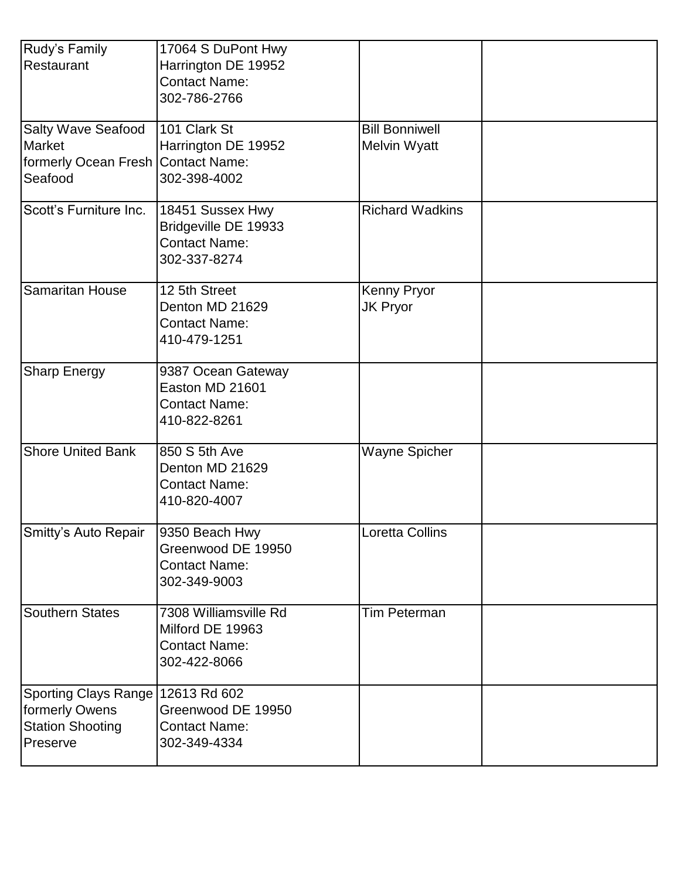| Rudy's Family<br>Restaurant                                                                   | 17064 S DuPont Hwy<br>Harrington DE 19952<br><b>Contact Name:</b><br>302-786-2766 |                                       |  |
|-----------------------------------------------------------------------------------------------|-----------------------------------------------------------------------------------|---------------------------------------|--|
| <b>Salty Wave Seafood</b><br><b>Market</b><br>formerly Ocean Fresh   Contact Name:<br>Seafood | 101 Clark St<br>Harrington DE 19952<br>302-398-4002                               | <b>Bill Bonniwell</b><br>Melvin Wyatt |  |
| Scott's Furniture Inc.                                                                        | 18451 Sussex Hwy<br>Bridgeville DE 19933<br><b>Contact Name:</b><br>302-337-8274  | <b>Richard Wadkins</b>                |  |
| <b>Samaritan House</b>                                                                        | 12 5th Street<br>Denton MD 21629<br><b>Contact Name:</b><br>410-479-1251          | Kenny Pryor<br><b>JK Pryor</b>        |  |
| <b>Sharp Energy</b>                                                                           | 9387 Ocean Gateway<br>Easton MD 21601<br><b>Contact Name:</b><br>410-822-8261     |                                       |  |
| <b>Shore United Bank</b>                                                                      | 850 S 5th Ave<br>Denton MD 21629<br><b>Contact Name:</b><br>410-820-4007          | <b>Wayne Spicher</b>                  |  |
| Smitty's Auto Repair                                                                          | 9350 Beach Hwy<br>Greenwood DE 19950<br><b>Contact Name:</b><br>302-349-9003      | Loretta Collins                       |  |
| <b>Southern States</b>                                                                        | 7308 Williamsville Rd<br>Milford DE 19963<br><b>Contact Name:</b><br>302-422-8066 | Tim Peterman                          |  |
| Sporting Clays Range   12613 Rd 602<br>formerly Owens<br><b>Station Shooting</b><br>Preserve  | Greenwood DE 19950<br><b>Contact Name:</b><br>302-349-4334                        |                                       |  |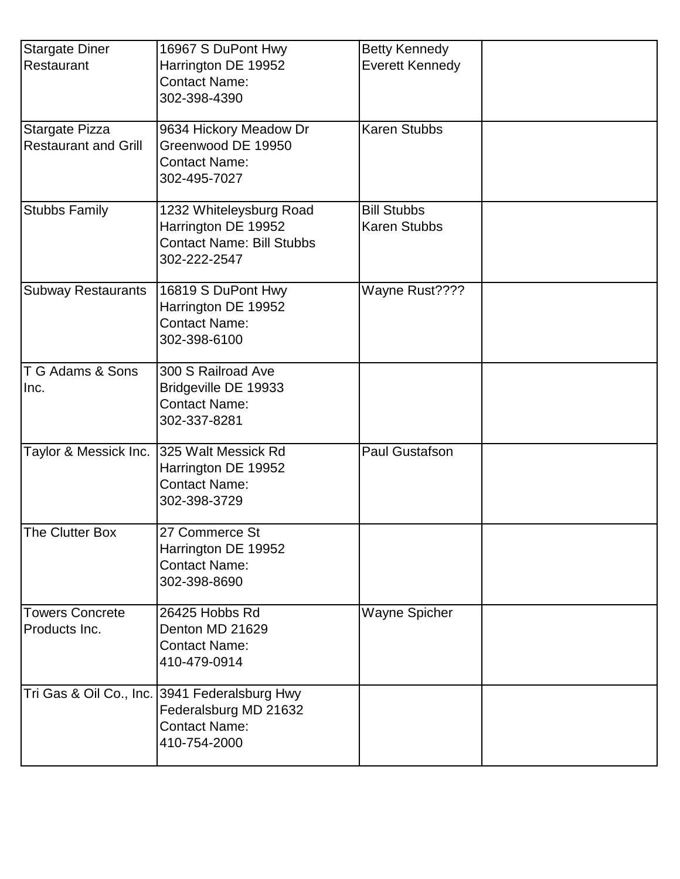| <b>Stargate Diner</b>                                | 16967 S DuPont Hwy                                                                                             | <b>Betty Kennedy</b>               |  |
|------------------------------------------------------|----------------------------------------------------------------------------------------------------------------|------------------------------------|--|
| Restaurant                                           | Harrington DE 19952<br><b>Contact Name:</b><br>302-398-4390                                                    | <b>Everett Kennedy</b>             |  |
| <b>Stargate Pizza</b><br><b>Restaurant and Grill</b> | 9634 Hickory Meadow Dr<br>Greenwood DE 19950<br><b>Contact Name:</b><br>302-495-7027                           | <b>Karen Stubbs</b>                |  |
| <b>Stubbs Family</b>                                 | 1232 Whiteleysburg Road<br>Harrington DE 19952<br><b>Contact Name: Bill Stubbs</b><br>302-222-2547             | <b>Bill Stubbs</b><br>Karen Stubbs |  |
| <b>Subway Restaurants</b>                            | 16819 S DuPont Hwy<br>Harrington DE 19952<br><b>Contact Name:</b><br>302-398-6100                              | Wayne Rust????                     |  |
| T G Adams & Sons<br>Inc.                             | 300 S Railroad Ave<br>Bridgeville DE 19933<br><b>Contact Name:</b><br>302-337-8281                             |                                    |  |
| Taylor & Messick Inc.                                | 325 Walt Messick Rd<br>Harrington DE 19952<br><b>Contact Name:</b><br>302-398-3729                             | Paul Gustafson                     |  |
| The Clutter Box                                      | 27 Commerce St<br>Harrington DE 19952<br><b>Contact Name:</b><br>302-398-8690                                  |                                    |  |
| <b>Towers Concrete</b><br>Products Inc.              | 26425 Hobbs Rd<br>Denton MD 21629<br><b>Contact Name:</b><br>410-479-0914                                      | Wayne Spicher                      |  |
|                                                      | Tri Gas & Oil Co., Inc. 3941 Federalsburg Hwy<br>Federalsburg MD 21632<br><b>Contact Name:</b><br>410-754-2000 |                                    |  |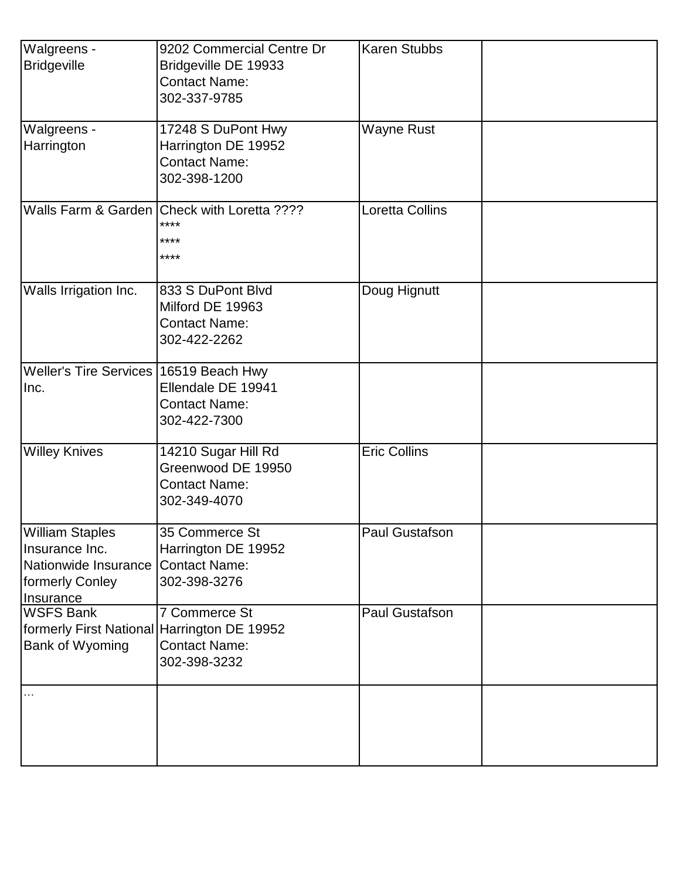| Walgreens -<br><b>Bridgeville</b>                                                                              | 9202 Commercial Centre Dr<br>Bridgeville DE 19933<br><b>Contact Name:</b><br>302-337-9785 | Karen Stubbs        |  |
|----------------------------------------------------------------------------------------------------------------|-------------------------------------------------------------------------------------------|---------------------|--|
| Walgreens -<br>Harrington                                                                                      | 17248 S DuPont Hwy<br>Harrington DE 19952<br><b>Contact Name:</b><br>302-398-1200         | <b>Wayne Rust</b>   |  |
|                                                                                                                | Walls Farm & Garden Check with Loretta ????<br>****<br>****<br>****                       | Loretta Collins     |  |
| Walls Irrigation Inc.                                                                                          | 833 S DuPont Blvd<br>Milford DE 19963<br><b>Contact Name:</b><br>302-422-2262             | Doug Hignutt        |  |
| Weller's Tire Services   16519 Beach Hwy<br>Inc.                                                               | Ellendale DE 19941<br><b>Contact Name:</b><br>302-422-7300                                |                     |  |
| <b>Willey Knives</b>                                                                                           | 14210 Sugar Hill Rd<br>Greenwood DE 19950<br><b>Contact Name:</b><br>302-349-4070         | <b>Eric Collins</b> |  |
| <b>William Staples</b><br>Insurance Inc.<br>Nationwide Insurance Contact Name:<br>formerly Conley<br>Insurance | 35 Commerce St<br>Harrington DE 19952<br>302-398-3276                                     | Paul Gustafson      |  |
| <b>WSFS Bank</b><br>formerly First National Harrington DE 19952<br><b>Bank of Wyoming</b>                      | 7 Commerce St<br><b>Contact Name:</b><br>302-398-3232                                     | Paul Gustafson      |  |
|                                                                                                                |                                                                                           |                     |  |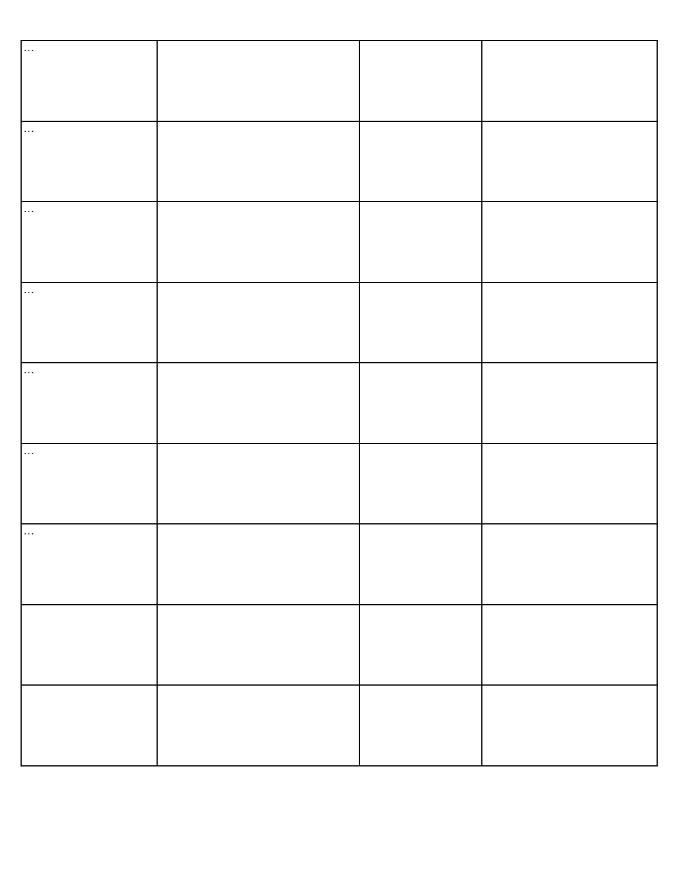| $\cdots$               |  |  |
|------------------------|--|--|
|                        |  |  |
|                        |  |  |
|                        |  |  |
| $\cdots$               |  |  |
|                        |  |  |
|                        |  |  |
| $\cdots$               |  |  |
|                        |  |  |
|                        |  |  |
|                        |  |  |
| $\cdots$               |  |  |
|                        |  |  |
|                        |  |  |
| $\ldots$               |  |  |
|                        |  |  |
|                        |  |  |
|                        |  |  |
| $\left  \dots \right $ |  |  |
|                        |  |  |
|                        |  |  |
|                        |  |  |
|                        |  |  |
|                        |  |  |
|                        |  |  |
|                        |  |  |
|                        |  |  |
|                        |  |  |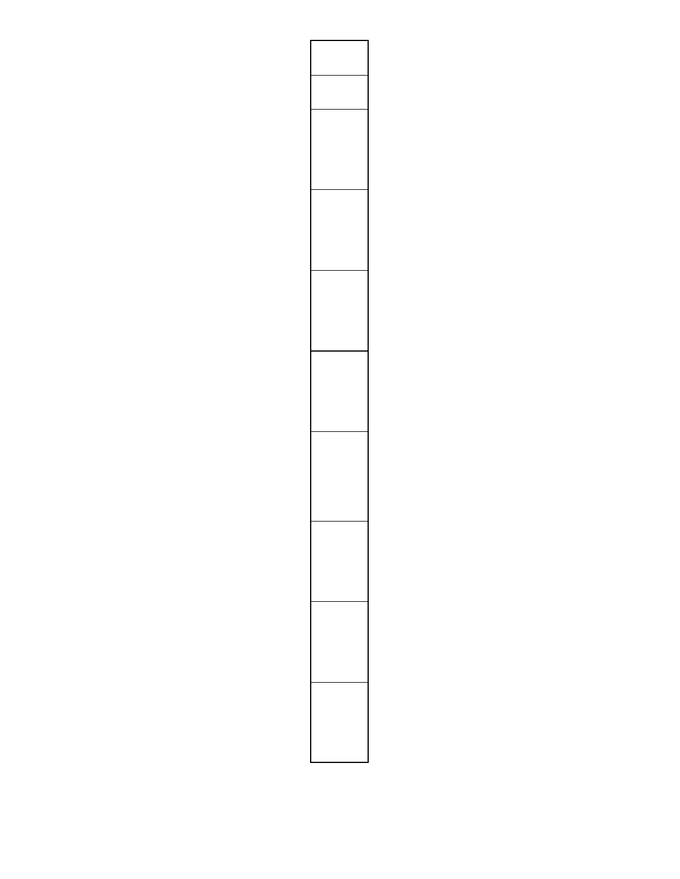